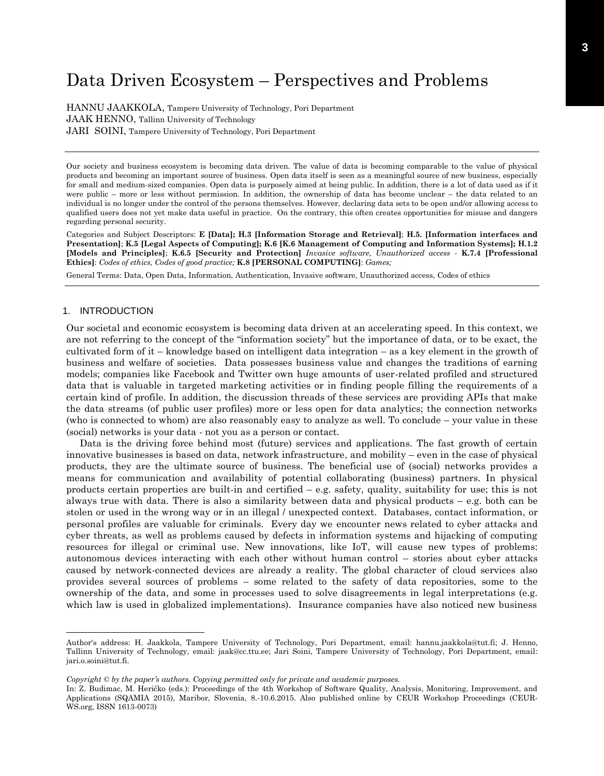# Data Driven Ecosystem – Perspectives and Problems

HANNU JAAKKOLA, Tampere University of Technology, Pori Department JAAK HENNO, Tallinn University of Technology JARI SOINI, Tampere University of Technology, Pori Department

Our society and business ecosystem is becoming data driven. The value of data is becoming comparable to the value of physical products and becoming an important source of business. Open data itself is seen as a meaningful source of new business, especially for small and medium-sized companies. Open data is purposely aimed at being public. In addition, there is a lot of data used as if it were public – more or less without permission. In addition, the ownership of data has become unclear – the data related to an individual is no longer under the control of the persons themselves. However, declaring data sets to be open and/or allowing access to qualified users does not yet make data useful in practice. On the contrary, this often creates opportunities for misuse and dangers regarding personal security.

Categories and Subject Descriptors: **E [Data]; H.3 [Information Storage and Retrieval]**; **H.5. [Information interfaces and Presentation]**; **K.5 [Legal Aspects of Computing]; K.6 [K.6 Management of Computing and Information Systems]; H.1.2 [Models and Principles]**; **K.6.5 [Security and Protection]** *Invasive software, Unauthorized access* - **K.7.4 [Professional Ethics]**: *Codes of ethics, Codes of good practice;* **K.8 [PERSONAL COMPUTING]**: *Games;*

General Terms: Data, Open Data, Information, Authentication, Invasive software, Unauthorized access, Codes of ethics

# 1. INTRODUCTION

Our societal and economic ecosystem is becoming data driven at an accelerating speed. In this context, we are not referring to the concept of the "information society" but the importance of data, or to be exact, the cultivated form of it – knowledge based on intelligent data integration – as a key element in the growth of business and welfare of societies. Data possesses business value and changes the traditions of earning models; companies like Facebook and Twitter own huge amounts of user-related profiled and structured data that is valuable in targeted marketing activities or in finding people filling the requirements of a certain kind of profile. In addition, the discussion threads of these services are providing APIs that make the data streams (of public user profiles) more or less open for data analytics; the connection networks (who is connected to whom) are also reasonably easy to analyze as well. To conclude – your value in these (social) networks is your data - not you as a person or contact.

Data is the driving force behind most (future) services and applications. The fast growth of certain innovative businesses is based on data, network infrastructure, and mobility – even in the case of physical products, they are the ultimate source of business. The beneficial use of (social) networks provides a means for communication and availability of potential collaborating (business) partners. In physical products certain properties are built-in and certified – e.g. safety, quality, suitability for use; this is not always true with data. There is also a similarity between data and physical products – e.g. both can be stolen or used in the wrong way or in an illegal / unexpected context. Databases, contact information, or personal profiles are valuable for criminals. Every day we encounter news related to cyber attacks and cyber threats, as well as problems caused by defects in information systems and hijacking of computing resources for illegal or criminal use. New innovations, like IoT, will cause new types of problems: autonomous devices interacting with each other without human control – stories about cyber attacks caused by network-connected devices are already a reality. The global character of cloud services also provides several sources of problems – some related to the safety of data repositories, some to the ownership of the data, and some in processes used to solve disagreements in legal interpretations (e.g. which law is used in globalized implementations). Insurance companies have also noticed new business

Author's address: H. Jaakkola, Tampere University of Technology, Pori Department, email: hannu.jaakkola@tut.fi; J. Henno, Tallinn University of Technology, email: jaak@cc.ttu.ee; Jari Soini, Tampere University of Technology, Pori Department, email: jari.o.soini@tut.fi.

*Copyright © by the paper's authors. Copying permitted only for private and academic purposes.*

In: Z. Budimac, M. Heričko (eds.): Proceedings of the 4th Workshop of Software Quality, Analysis, Monitoring, Improvement, and Applications (SQAMIA 2015), Maribor, Slovenia, 8.-10.6.2015. Also published online by CEUR Workshop Proceedings (CEUR-WS.org, ISSN 1613-0073)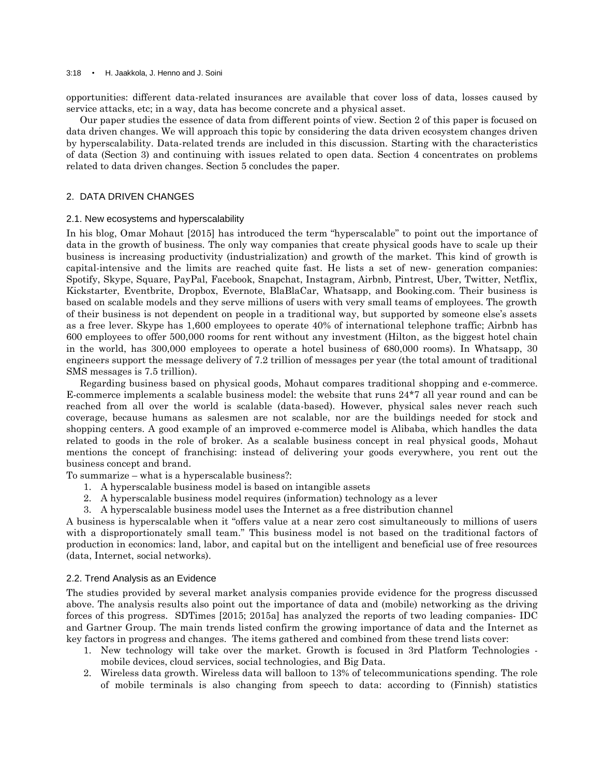#### 3:18 • H. Jaakkola, J. Henno and J. Soini

opportunities: different data-related insurances are available that cover loss of data, losses caused by service attacks, etc; in a way, data has become concrete and a physical asset.

Our paper studies the essence of data from different points of view. Section 2 of this paper is focused on data driven changes. We will approach this topic by considering the data driven ecosystem changes driven by hyperscalability. Data-related trends are included in this discussion. Starting with the characteristics of data (Section 3) and continuing with issues related to open data. Section 4 concentrates on problems related to data driven changes. Section 5 concludes the paper.

# 2. DATA DRIVEN CHANGES

# 2.1. New ecosystems and hyperscalability

In his blog, Omar Mohaut [2015] has introduced the term "hyperscalable" to point out the importance of data in the growth of business. The only way companies that create physical goods have to scale up their business is increasing productivity (industrialization) and growth of the market. This kind of growth is capital-intensive and the limits are reached quite fast. He lists a set of new- generation companies: Spotify, Skype, Square, PayPal, Facebook, Snapchat, Instagram, Airbnb, Pintrest, Uber, Twitter, Netflix, Kickstarter, Eventbrite, Dropbox, Evernote, BlaBlaCar, Whatsapp, and Booking.com. Their business is based on scalable models and they serve millions of users with very small teams of employees. The growth of their business is not dependent on people in a traditional way, but supported by someone else"s assets as a free lever. Skype has 1,600 employees to operate 40% of international telephone traffic; Airbnb has 600 employees to offer 500,000 rooms for rent without any investment (Hilton, as the biggest hotel chain in the world, has 300,000 employees to operate a hotel business of 680,000 rooms). In Whatsapp, 30 engineers support the message delivery of 7.2 trillion of messages per year (the total amount of traditional SMS messages is 7.5 trillion).

Regarding business based on physical goods, Mohaut compares traditional shopping and e-commerce. E-commerce implements a scalable business model: the website that runs 24\*7 all year round and can be reached from all over the world is scalable (data-based). However, physical sales never reach such coverage, because humans as salesmen are not scalable, nor are the buildings needed for stock and shopping centers. A good example of an improved e-commerce model is Alibaba, which handles the data related to goods in the role of broker. As a scalable business concept in real physical goods, Mohaut mentions the concept of franchising: instead of delivering your goods everywhere, you rent out the business concept and brand.

To summarize – what is a hyperscalable business?:

- 1. A hyperscalable business model is based on intangible assets
- 2. A hyperscalable business model requires (information) technology as a lever
- 3. A hyperscalable business model uses the Internet as a free distribution channel

A business is hyperscalable when it "offers value at a near zero cost simultaneously to millions of users with a disproportionately small team." This business model is not based on the traditional factors of production in economics: land, labor, and capital but on the intelligent and beneficial use of free resources (data, Internet, social networks).

## 2.2. Trend Analysis as an Evidence

The studies provided by several market analysis companies provide evidence for the progress discussed above. The analysis results also point out the importance of data and (mobile) networking as the driving forces of this progress. SDTimes [2015; 2015a] has analyzed the reports of two leading companies- IDC and Gartner Group. The main trends listed confirm the growing importance of data and the Internet as key factors in progress and changes. The items gathered and combined from these trend lists cover:

- 1. New technology will take over the market. Growth is focused in 3rd Platform Technologies mobile devices, cloud services, social technologies, and Big Data.
- 2. Wireless data growth. Wireless data will balloon to 13% of telecommunications spending. The role of mobile terminals is also changing from speech to data: according to (Finnish) statistics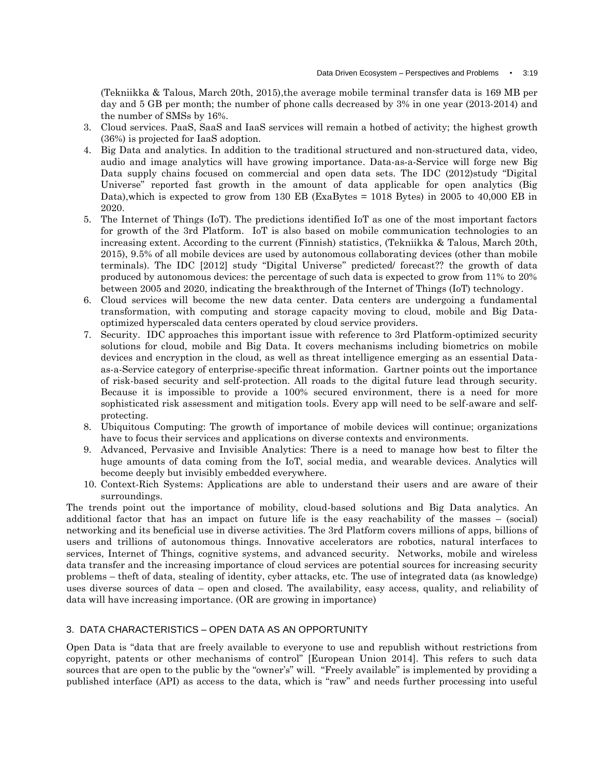(Tekniikka & Talous, March 20th, 2015),the average mobile terminal transfer data is 169 MB per day and 5 GB per month; the number of phone calls decreased by 3% in one year (2013-2014) and the number of SMSs by 16%.

- 3. Cloud services. PaaS, SaaS and IaaS services will remain a hotbed of activity; the highest growth (36%) is projected for IaaS adoption.
- 4. Big Data and analytics. In addition to the traditional structured and non-structured data, video, audio and image analytics will have growing importance. Data-as-a-Service will forge new Big Data supply chains focused on commercial and open data sets. The IDC (2012)study "Digital Universe" reported fast growth in the amount of data applicable for open analytics (Big Data),which is expected to grow from 130 EB (ExaBytes = 1018 Bytes) in 2005 to 40,000 EB in 2020.
- 5. The Internet of Things (IoT). The predictions identified IoT as one of the most important factors for growth of the 3rd Platform. IoT is also based on mobile communication technologies to an increasing extent. According to the current (Finnish) statistics, (Tekniikka & Talous, March 20th, 2015), 9.5% of all mobile devices are used by autonomous collaborating devices (other than mobile terminals). The IDC [2012] study "Digital Universe" predicted/ forecast?? the growth of data produced by autonomous devices: the percentage of such data is expected to grow from 11% to 20% between 2005 and 2020, indicating the breakthrough of the Internet of Things (IoT) technology.
- 6. Cloud services will become the new data center. Data centers are undergoing a fundamental transformation, with computing and storage capacity moving to cloud, mobile and Big Dataoptimized hyperscaled data centers operated by cloud service providers.
- 7. Security. IDC approaches this important issue with reference to 3rd Platform-optimized security solutions for cloud, mobile and Big Data. It covers mechanisms including biometrics on mobile devices and encryption in the cloud, as well as threat intelligence emerging as an essential Dataas-a-Service category of enterprise-specific threat information. Gartner points out the importance of risk-based security and self-protection. All roads to the digital future lead through security. Because it is impossible to provide a 100% secured environment, there is a need for more sophisticated risk assessment and mitigation tools. Every app will need to be self-aware and selfprotecting.
- 8. Ubiquitous Computing: The growth of importance of mobile devices will continue; organizations have to focus their services and applications on diverse contexts and environments.
- 9. Advanced, Pervasive and Invisible Analytics: There is a need to manage how best to filter the huge amounts of data coming from the IoT, social media, and wearable devices. Analytics will become deeply but invisibly embedded everywhere.
- 10. Context-Rich Systems: Applications are able to understand their users and are aware of their surroundings.

The trends point out the importance of mobility, cloud-based solutions and Big Data analytics. An additional factor that has an impact on future life is the easy reachability of the masses – (social) networking and its beneficial use in diverse activities. The 3rd Platform covers millions of apps, billions of users and trillions of autonomous things. Innovative accelerators are robotics, natural interfaces to services, Internet of Things, cognitive systems, and advanced security. Networks, mobile and wireless data transfer and the increasing importance of cloud services are potential sources for increasing security problems – theft of data, stealing of identity, cyber attacks, etc. The use of integrated data (as knowledge) uses diverse sources of data – open and closed. The availability, easy access, quality, and reliability of data will have increasing importance. (OR are growing in importance)

# 3. DATA CHARACTERISTICS – OPEN DATA AS AN OPPORTUNITY

Open Data is "data that are freely available to everyone to use and republish without restrictions from copyright, patents or other mechanisms of control" [European Union 2014]. This refers to such data sources that are open to the public by the "owner"s" will. "Freely available" is implemented by providing a published interface (API) as access to the data, which is "raw" and needs further processing into useful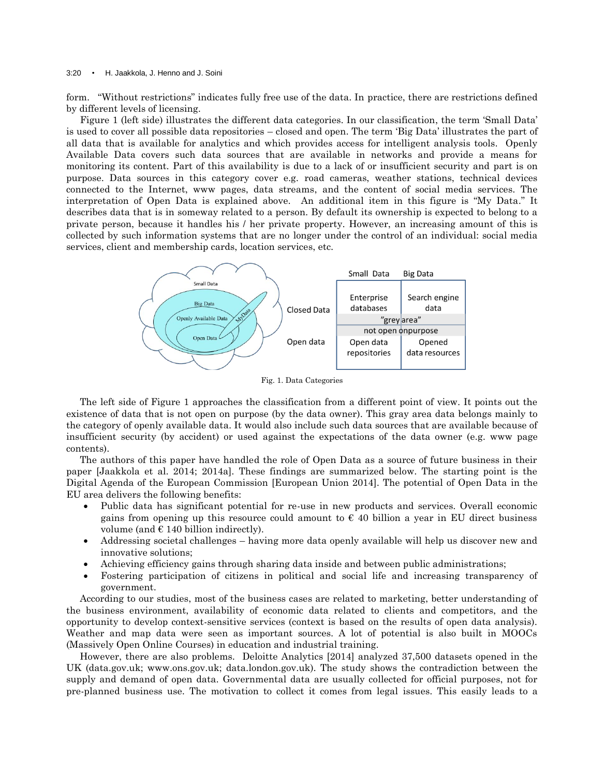#### 3:20 • H. Jaakkola, J. Henno and J. Soini

form. "Without restrictions" indicates fully free use of the data. In practice, there are restrictions defined by different levels of licensing.

Figure 1 (left side) illustrates the different data categories. In our classification, the term "Small Data" is used to cover all possible data repositories – closed and open. The term "Big Data" illustrates the part of all data that is available for analytics and which provides access for intelligent analysis tools. Openly Available Data covers such data sources that are available in networks and provide a means for monitoring its content. Part of this availability is due to a lack of or insufficient security and part is on purpose. Data sources in this category cover e.g. road cameras, weather stations, technical devices connected to the Internet, www pages, data streams, and the content of social media services. The interpretation of Open Data is explained above. An additional item in this figure is "My Data." It describes data that is in someway related to a person. By default its ownership is expected to belong to a private person, because it handles his / her private property. However, an increasing amount of this is collected by such information systems that are no longer under the control of an individual: social media services, client and membership cards, location services, etc.



Fig. 1. Data Categories

The left side of Figure 1 approaches the classification from a different point of view. It points out the existence of data that is not open on purpose (by the data owner). This gray area data belongs mainly to the category of openly available data. It would also include such data sources that are available because of insufficient security (by accident) or used against the expectations of the data owner (e.g. www page contents).

The authors of this paper have handled the role of Open Data as a source of future business in their paper [Jaakkola et al. 2014; 2014a]. These findings are summarized below. The starting point is the Digital Agenda of the European Commission [European Union 2014]. The potential of Open Data in the EU area delivers the following benefits:

- Public data has significant potential for re-use in new products and services. Overall economic gains from opening up this resource could amount to  $\epsilon$  40 billion a year in EU direct business volume (and  $\in$  140 billion indirectly).
- Addressing societal challenges having more data openly available will help us discover new and innovative solutions;
- Achieving efficiency gains through sharing data inside and between public administrations;
- Fostering participation of citizens in political and social life and increasing transparency of government.

According to our studies, most of the business cases are related to marketing, better understanding of the business environment, availability of economic data related to clients and competitors, and the opportunity to develop context-sensitive services (context is based on the results of open data analysis). Weather and map data were seen as important sources. A lot of potential is also built in MOOCs (Massively Open Online Courses) in education and industrial training.

However, there are also problems. Deloitte Analytics [2014] analyzed 37,500 datasets opened in the UK (data.gov.uk; www.ons.gov.uk; data.london.gov.uk). The study shows the contradiction between the supply and demand of open data. Governmental data are usually collected for official purposes, not for pre-planned business use. The motivation to collect it comes from legal issues. This easily leads to a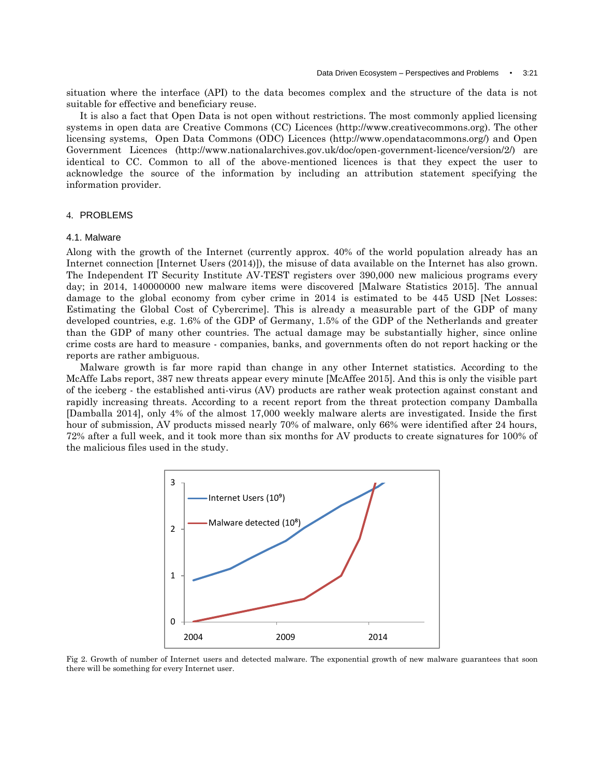situation where the interface (API) to the data becomes complex and the structure of the data is not suitable for effective and beneficiary reuse.

It is also a fact that Open Data is not open without restrictions. The most commonly applied licensing systems in open data are Creative Commons (CC) Licences (http://www.creativecommons.org). The other licensing systems, Open Data Commons (ODC) Licences (http://www.opendatacommons.org/) and Open Government Licences (http://www.nationalarchives.gov.uk/doc/open-government-licence/version/2/) are identical to CC. Common to all of the above-mentioned licences is that they expect the user to acknowledge the source of the information by including an attribution statement specifying the information provider.

# 4. PROBLEMS

#### 4.1. Malware

Along with the growth of the Internet (currently approx. 40% of the world population already has an Internet connection [Internet Users (2014)]), the misuse of data available on the Internet has also grown. The Independent IT Security Institute AV-TEST registers over 390,000 new malicious programs every day; in 2014, 140000000 new malware items were discovered [Malware Statistics 2015]. The annual damage to the global economy from cyber crime in 2014 is estimated to be 445 USD [Net Losses: Estimating the Global Cost of Cybercrime]. This is already a measurable part of the GDP of many developed countries, e.g. 1.6% of the GDP of Germany, 1.5% of the GDP of the Netherlands and greater than the GDP of many other countries. The actual damage may be substantially higher, since online crime costs are hard to measure - companies, banks, and governments often do not report hacking or the reports are rather ambiguous.

Malware growth is far more rapid than change in any other Internet statistics. According to the McAffe Labs report, 387 new threats appear every minute [McAffee 2015]. And this is only the visible part of the iceberg - the established anti-virus (AV) products are rather weak protection against constant and rapidly increasing threats. According to a recent report from the threat protection company Damballa [Damballa 2014], only 4% of the almost 17,000 weekly malware alerts are investigated. Inside the first hour of submission, AV products missed nearly 70% of malware, only 66% were identified after 24 hours, 72% after a full week, and it took more than six months for AV products to create signatures for 100% of the malicious files used in the study.



Fig 2. Growth of number of Internet users and detected malware. The exponential growth of new malware guarantees that soon there will be something for every Internet user.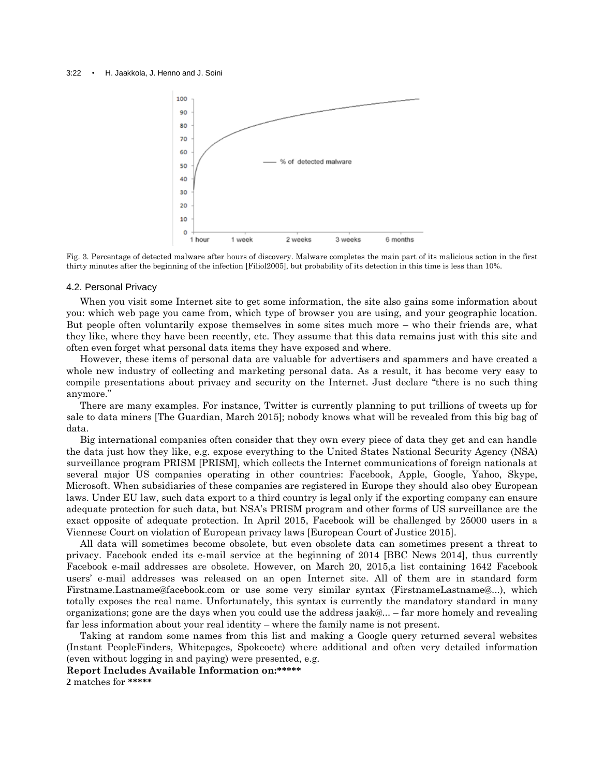

Fig. 3. Percentage of detected malware after hours of discovery. Malware completes the main part of its malicious action in the first thirty minutes after the beginning of the infection [Filiol2005], but probability of its detection in this time is less than 10%.

## 4.2. Personal Privacy

When you visit some Internet site to get some information, the site also gains some information about you: which web page you came from, which type of browser you are using, and your geographic location. But people often voluntarily expose themselves in some sites much more – who their friends are, what they like, where they have been recently, etc. They assume that this data remains just with this site and often even forget what personal data items they have exposed and where.

However, these items of personal data are valuable for advertisers and spammers and have created a whole new industry of collecting and marketing personal data. As a result, it has become very easy to compile presentations about privacy and security on the Internet. Just declare "there is no such thing anymore."

There are many examples. For instance, Twitter is currently planning to put trillions of tweets up for sale to data miners [The Guardian, March 2015]; nobody knows what will be revealed from this big bag of data.

Big international companies often consider that they own every piece of data they get and can handle the data just how they like, e.g. expose everything to the United States [National Security Agency](http://en.wikipedia.org/wiki/National_Security_Agency) (NSA) surveillance program PRISM [PRISM], which collects the Internet communications of foreign nationals at several major US companies operating in other countries: Facebook, Apple, Google, Yahoo, Skype, Microsoft. When subsidiaries of these companies are registered in Europe they should also obey European laws. Under EU law, such data export to a third country is legal only if the exporting company can ensure adequate protection for such data, but NSA"s PRISM program and other forms of US surveillance are the exact opposite of adequate protection. In April 2015, Facebook will be challenged by 25000 users in a Viennese Court on violation of European privacy laws [European Court of Justice 2015].

All data will sometimes become obsolete, but even obsolete data can sometimes present a threat to privacy. Facebook ended its e-mail service at the beginning of 2014 [BBC News 2014], thus currently Facebook e-mail addresses are obsolete. However, on March 20, 2015,a list containing 1642 Facebook users" e-mail addresses was released on an open Internet site. All of them are in standard form Firstname.Lastname@facebook.com or use some very similar syntax (FirstnameLastname@...), which totally exposes the real name. Unfortunately, this syntax is currently the mandatory standard in many organizations; gone are the days when you could use the address jaak@... – far more homely and revealing far less information about your real identity – where the family name is not present.

Taking at random some names from this list and making a Google query returned several websites (Instant PeopleFinders, Whitepages, Spokeoetc) where additional and often very detailed information (even without logging in and paying) were presented, e.g.

**Report Includes Available Information on:\*\*\*\*\***

**2** matches for **\*\*\*\*\***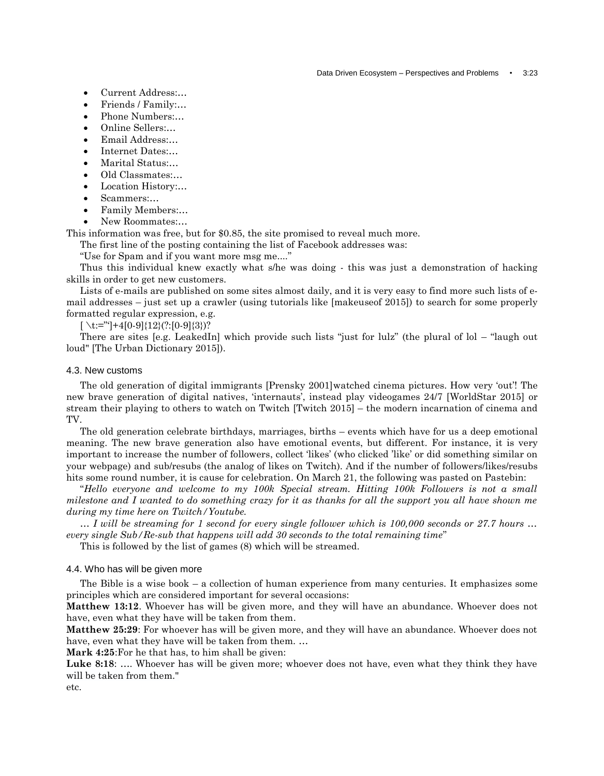- Current Address:…
- Friends / Family:…
- Phone Numbers:…
- Online Sellers:…
- Email Address:…
- Internet Dates:…
- Marital Status:…
- Old Classmates:…
- Location History:…
- Scammers:…
- Family Members:…
- New Roommates:...

This information was free, but for \$0.85, the site promised to reveal much more.

The first line of the posting containing the list of Facebook addresses was:

"Use for Spam and if you want more msg me...."

Thus this individual knew exactly what s/he was doing - this was just a demonstration of hacking skills in order to get new customers.

Lists of e-mails are published on some sites almost daily, and it is very easy to find more such lists of email addresses – just set up a crawler (using tutorials like [makeuseof 2015]) to search for some properly formatted regular expression, e.g.

 $[\setminus t:=$ "'|+4[0-9]{12}(?:[0-9]{3})?

There are sites [e.g. LeakedIn] which provide such lists "just for lulz" (the plural of lol – "laugh out loud" [The Urban Dictionary 2015]).

## 4.3. New customs

The old generation of digital immigrants [Prensky 2001]watched cinema pictures. How very 'out'! The new brave generation of digital natives, "internauts", instead play videogames 24/7 [WorldStar 2015] or stream their playing to others to watch on Twitch [Twitch 2015] – the modern incarnation of cinema and TV.

The old generation celebrate birthdays, marriages, births – events which have for us a deep emotional meaning. The new brave generation also have emotional events, but different. For instance, it is very important to increase the number of followers, collect "likes" (who clicked "like" or did something similar on your webpage) and sub/resubs (the analog of likes on Twitch). And if the number of followers/likes/resubs hits some round number, it is cause for celebration. On March 21, the following was pasted on Pastebin:

"*Hello everyone and welcome to my 100k Special stream. Hitting 100k Followers is not a small milestone and I wanted to do something crazy for it as thanks for all the support you all have shown me during my time here on Twitch/Youtube.*

*… I will be streaming for 1 second for every single follower which is 100,000 seconds or 27.7 hours … every single Sub/Re-sub that happens will add 30 seconds to the total remaining time*"

This is followed by the list of games (8) which will be streamed.

# 4.4. Who has will be given more

The Bible is a wise book – a collection of human experience from many centuries. It emphasizes some principles which are considered important for several occasions:

**Matthew 13:12**. Whoever has will be given more, and they will have an abundance. Whoever does not have, even what they have will be taken from them.

**Matthew 25:29**: For whoever has will be given more, and they will have an abundance. Whoever does not have, even what they have will be taken from them. …

**Mark 4:25**:For he that has, to him shall be given:

**[Luke](http://biblehub.com/luke/8-18.htm) 8:18**: …. Whoever has will be given more; whoever does not have, even what they think they have will be taken from them."

etc.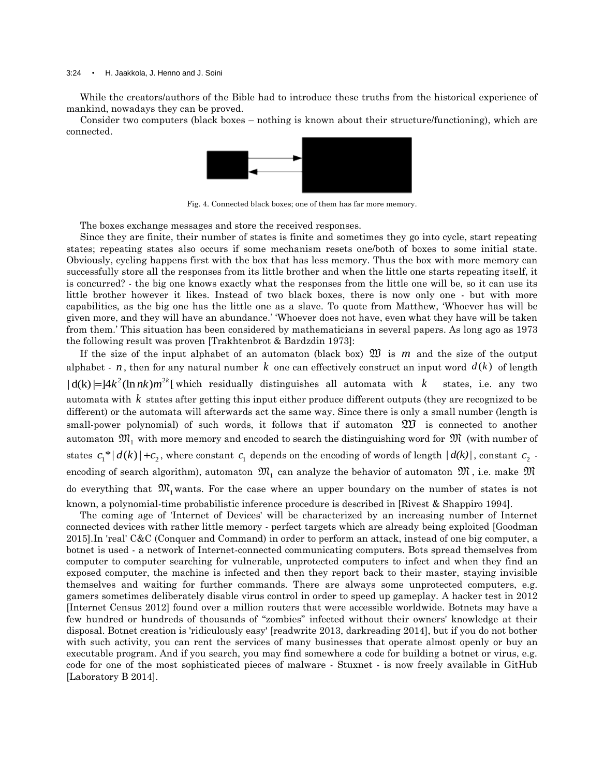#### 3:24 • H. Jaakkola, J. Henno and J. Soini

While the creators/authors of the Bible had to introduce these truths from the historical experience of mankind, nowadays they can be proved.

Consider two computers (black boxes – nothing is known about their structure/functioning), which are connected.



Fig. 4. Connected black boxes; one of them has far more memory.

The boxes exchange messages and store the received responses.

Since they are finite, their number of states is finite and sometimes they go into cycle, start repeating states; repeating states also occurs if some mechanism resets one/both of boxes to some initial state. Obviously, cycling happens first with the box that has less memory. Thus the box with more memory can successfully store all the responses from its little brother and when the little one starts repeating itself, it is concurred? - the big one knows exactly what the responses from the little one will be, so it can use its little brother however it likes. Instead of two black boxes, there is now only one - but with more capabilities, as the big one has the little one as a slave. To quote from Matthew, "Whoever has will be given more, and they will have an abundance." "Whoever does not have, even what they have will be taken from them." This situation has been considered by mathematicians in several papers. As long ago as 1973 the following result was proven [Trakhtenbrot & Bardzdin 1973]:

If the size of the input alphabet of an automaton (black box)  $\mathfrak W$  is  $m$  and the size of the output alphabet -  $n$ , then for any natural number  $k$  one can effectively construct an input word  $d(k)$  of length alphabet - *n*, then for any natural number *k* one can effectively construct an  $| d(k)| = |4k^2(\ln nk)m^{2k}|$  which residually distinguishes all automata with *k* states, i.e. any two automata with *k* states after getting this input either produce different outputs (they are recognized to be different) or the automata will afterwards act the same way. Since there is only a small number (length is small-power polynomial) of such words, it follows that if automaton  $\mathfrak W$  is connected to another automaton  $\mathfrak{M}_{1}$  with more memory and encoded to search the distinguishing word for  $\mathfrak{M}$  (with number of states  $c_1^*|d(k)|+c_2$ , where constant  $c_1$  depends on the encoding of words of length  $|d(k)|$ , constant  $c_2$  encoding of search algorithm), automaton  $\mathfrak{M}_{1}$  can analyze the behavior of automaton  $\mathfrak{M}$  , i.e. make  $\mathfrak{M}$ do everything that  $\mathfrak{M}_1$  wants. For the case where an upper boundary on the number of states is not known, a polynomial-time probabilistic inference procedure is described in [Rivest & Shappiro 1994].

The coming age of 'Internet of Devices' will be characterized by an increasing number of Internet connected devices with rather little memory - perfect targets which are already being exploited [Goodman 2015].In 'real' C&C (Conquer and Command) in order to perform an attack, instead of one big computer, a botnet is used - a network of Internet-connected communicating computers. Bots spread themselves from computer to computer searching for vulnerable, unprotected computers to infect and when they find an exposed computer, the machine is infected and then they report back to their master, staying invisible themselves and waiting for further commands. There are always some unprotected computers, e.g. gamers sometimes deliberately disable virus control in order to speed up gameplay. A hacker test in 2012 [Internet Census 2012] found over a million routers that were accessible worldwide. Botnets may have a few hundred or hundreds of thousands of "zombies" infected without their owners' knowledge at their disposal. Botnet creation is 'ridiculously easy' [readwrite 2013, darkreading 2014], but if you do not bother with such activity, you can rent the services of many businesses that operate almost openly or buy an executable program. And if you search, you may find somewhere a code for building a botnet or virus, e.g. code for one of the most sophisticated pieces of malware - Stuxnet - is now freely available in GitHub [Laboratory B 2014].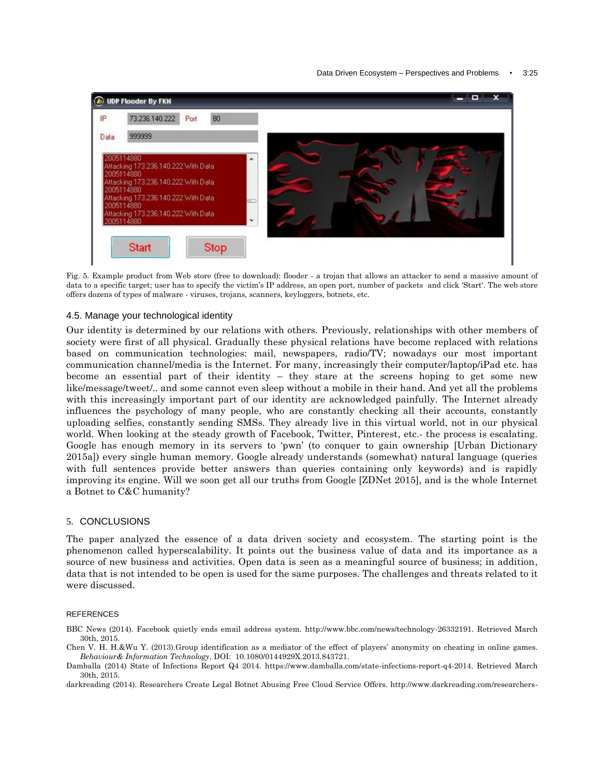

Fig. 5. Example product from Web store (free to download): flooder - a trojan that allows an attacker to send a massive amount of data to a specific target; user has to specify the victim's IP address, an open port, number of packets and click 'Start'. The web store offers dozens of types of malware - viruses, trojans, scanners, keyloggers, botnets, etc.

# 4.5. Manage your technological identity

Our identity is determined by our relations with others. Previously, relationships with other members of society were first of all physical. Gradually these physical relations have become replaced with relations based on communication technologies: mail, newspapers, radio/TV; nowadays our most important communication channel/media is the Internet. For many, increasingly their computer/laptop/iPad etc. has become an essential part of their identity – they stare at the screens hoping to get some new like/message/tweet/.. and some cannot even sleep without a mobile in their hand. And yet all the problems with this increasingly important part of our identity are acknowledged painfully. The Internet already influences the psychology of many people, who are constantly checking all their accounts, constantly uploading selfies, constantly sending SMSs. They already live in this virtual world, not in our physical world. When looking at the steady growth of Facebook, Twitter, Pinterest, etc.- the process is escalating. Google has enough memory in its servers to "pwn" (to conquer to gain ownership [Urban Dictionary 2015a]) every single human memory. Google already understands (somewhat) natural language (queries with full sentences provide better answers than queries containing only keywords) and is rapidly improving its engine. Will we soon get all our truths from Google [ZDNet 2015], and is the whole Internet a Botnet to C&C humanity?

# 5. CONCLUSIONS

The paper analyzed the essence of a data driven society and ecosystem. The starting point is the phenomenon called hyperscalability. It points out the business value of data and its importance as a source of new business and activities. Open data is seen as a meaningful source of business; in addition, data that is not intended to be open is used for the same purposes. The challenges and threats related to it were discussed.

# **REFERENCES**

- BBC News (2014). Facebook quietly ends email address system. http://www.bbc.com/news/technology-26332191. Retrieved March 30th, 2015.
- Chen V. H. H.&Wu Y. (2013).Group identification as a mediator of the effect of players" anonymity on cheating in online games. *Behaviour& Information Technology*, DOI: 10.1080/0144929X.2013.843721.
- Damballa (2014) State of Infections Report Q4 2014. https://www.damballa.com/state-infections-report-q4-2014. Retrieved March 30th, 2015.

darkreading (2014). Researchers Create Legal Botnet Abusing Free Cloud Service Offers. http://www.darkreading.com/researchers-